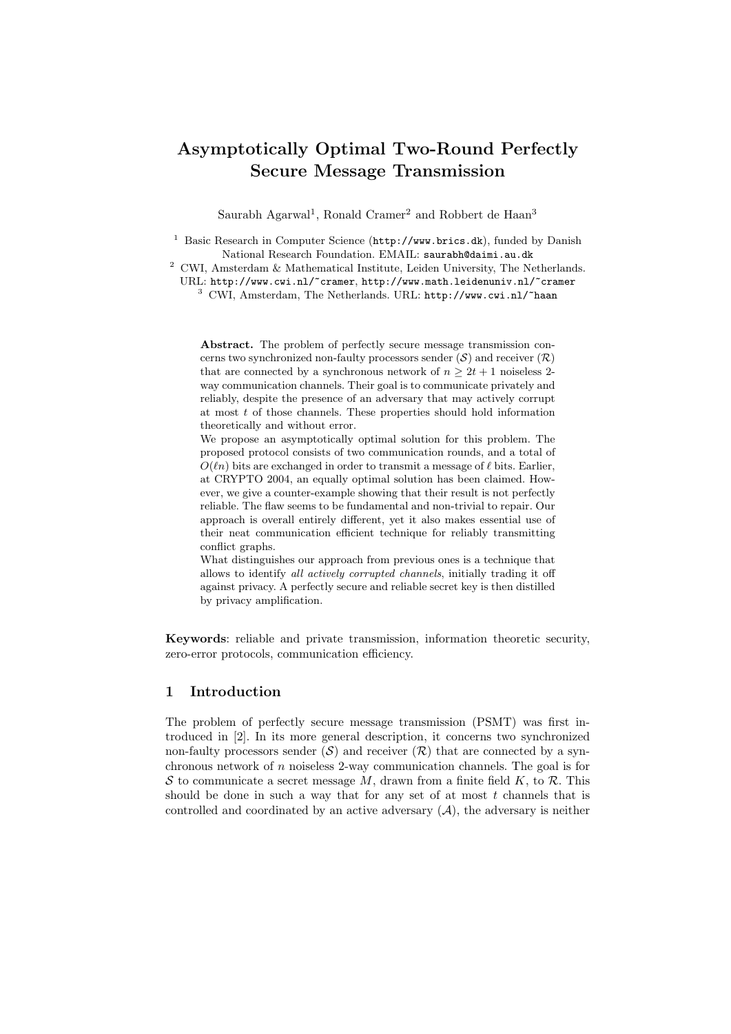# Asymptotically Optimal Two-Round Perfectly Secure Message Transmission

Saurabh Agarwal<sup>1</sup>, Ronald Cramer<sup>2</sup> and Robbert de Haan<sup>3</sup>

<sup>1</sup> Basic Research in Computer Science (http://www.brics.dk), funded by Danish National Research Foundation. EMAIL: saurabh@daimi.au.dk

 $^2\,$  CWI, Amsterdam & Mathematical Institute, Leiden University, The Netherlands. URL: http://www.cwi.nl/~cramer, http://www.math.leidenuniv.nl/~cramer <sup>3</sup> CWI, Amsterdam, The Netherlands. URL: http://www.cwi.nl/~haan

Abstract. The problem of perfectly secure message transmission concerns two synchronized non-faulty processors sender  $(S)$  and receiver  $(R)$ that are connected by a synchronous network of  $n \geq 2t + 1$  noiseless 2way communication channels. Their goal is to communicate privately and reliably, despite the presence of an adversary that may actively corrupt at most  $t$  of those channels. These properties should hold information theoretically and without error.

We propose an asymptotically optimal solution for this problem. The proposed protocol consists of two communication rounds, and a total of  $O(\ell n)$  bits are exchanged in order to transmit a message of  $\ell$  bits. Earlier, at CRYPTO 2004, an equally optimal solution has been claimed. However, we give a counter-example showing that their result is not perfectly reliable. The flaw seems to be fundamental and non-trivial to repair. Our approach is overall entirely different, yet it also makes essential use of their neat communication efficient technique for reliably transmitting conflict graphs.

What distinguishes our approach from previous ones is a technique that allows to identify all actively corrupted channels, initially trading it off against privacy. A perfectly secure and reliable secret key is then distilled by privacy amplification.

Keywords: reliable and private transmission, information theoretic security, zero-error protocols, communication efficiency.

# 1 Introduction

The problem of perfectly secure message transmission (PSMT) was first introduced in [2]. In its more general description, it concerns two synchronized non-faulty processors sender  $(S)$  and receiver  $(R)$  that are connected by a synchronous network of  $n$  noiseless 2-way communication channels. The goal is for S to communicate a secret message M, drawn from a finite field  $K$ , to R. This should be done in such a way that for any set of at most  $t$  channels that is controlled and coordinated by an active adversary  $(A)$ , the adversary is neither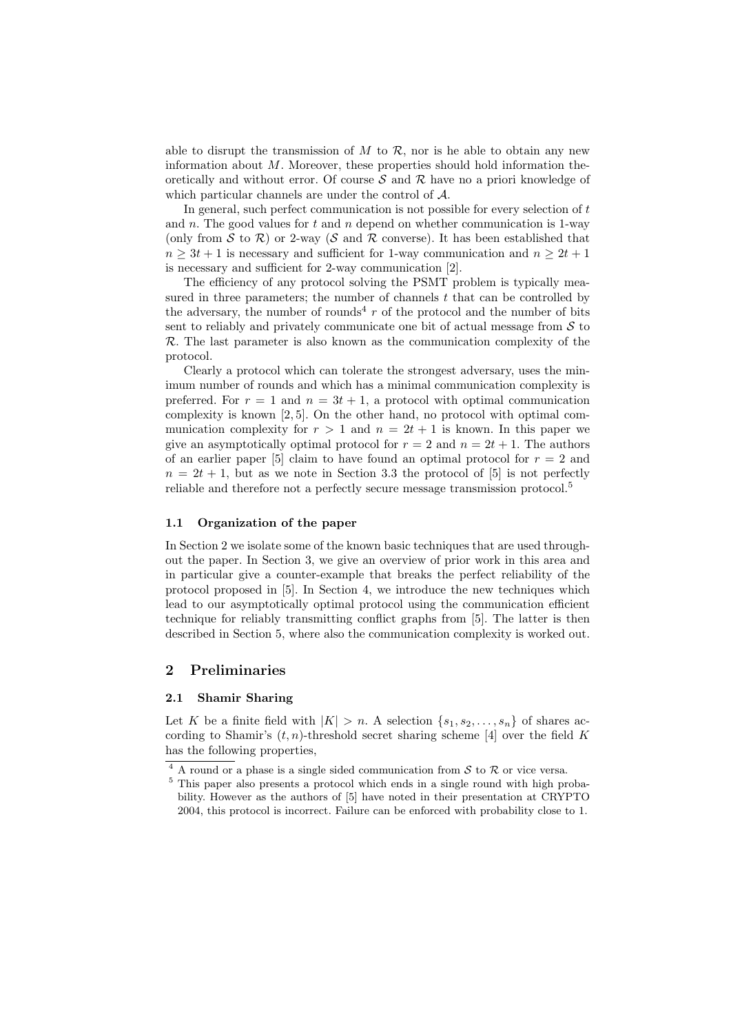able to disrupt the transmission of  $M$  to  $\mathcal{R}$ , nor is he able to obtain any new information about  $M$ . Moreover, these properties should hold information theoretically and without error. Of course  $S$  and  $R$  have no a priori knowledge of which particular channels are under the control of A.

In general, such perfect communication is not possible for every selection of t and n. The good values for t and n depend on whether communication is 1-way (only from S to R) or 2-way (S and R converse). It has been established that  $n > 3t + 1$  is necessary and sufficient for 1-way communication and  $n > 2t + 1$ is necessary and sufficient for 2-way communication [2].

The efficiency of any protocol solving the PSMT problem is typically measured in three parameters; the number of channels  $t$  that can be controlled by the adversary, the number of rounds<sup>4</sup>  $r$  of the protocol and the number of bits sent to reliably and privately communicate one bit of actual message from  $S$  to  $\mathcal{R}$ . The last parameter is also known as the communication complexity of the protocol.

Clearly a protocol which can tolerate the strongest adversary, uses the minimum number of rounds and which has a minimal communication complexity is preferred. For  $r = 1$  and  $n = 3t + 1$ , a protocol with optimal communication complexity is known [2, 5]. On the other hand, no protocol with optimal communication complexity for  $r > 1$  and  $n = 2t + 1$  is known. In this paper we give an asymptotically optimal protocol for  $r = 2$  and  $n = 2t + 1$ . The authors of an earlier paper [5] claim to have found an optimal protocol for  $r = 2$  and  $n = 2t + 1$ , but as we note in Section 3.3 the protocol of [5] is not perfectly reliable and therefore not a perfectly secure message transmission protocol.<sup>5</sup>

#### 1.1 Organization of the paper

In Section 2 we isolate some of the known basic techniques that are used throughout the paper. In Section 3, we give an overview of prior work in this area and in particular give a counter-example that breaks the perfect reliability of the protocol proposed in [5]. In Section 4, we introduce the new techniques which lead to our asymptotically optimal protocol using the communication efficient technique for reliably transmitting conflict graphs from [5]. The latter is then described in Section 5, where also the communication complexity is worked out.

# 2 Preliminaries

#### 2.1 Shamir Sharing

Let K be a finite field with  $|K| > n$ . A selection  $\{s_1, s_2, \ldots, s_n\}$  of shares according to Shamir's  $(t, n)$ -threshold secret sharing scheme [4] over the field K has the following properties,

 $\frac{4}{4}$  A round or a phase is a single sided communication from S to R or vice versa.

<sup>5</sup> This paper also presents a protocol which ends in a single round with high probability. However as the authors of [5] have noted in their presentation at CRYPTO 2004, this protocol is incorrect. Failure can be enforced with probability close to 1.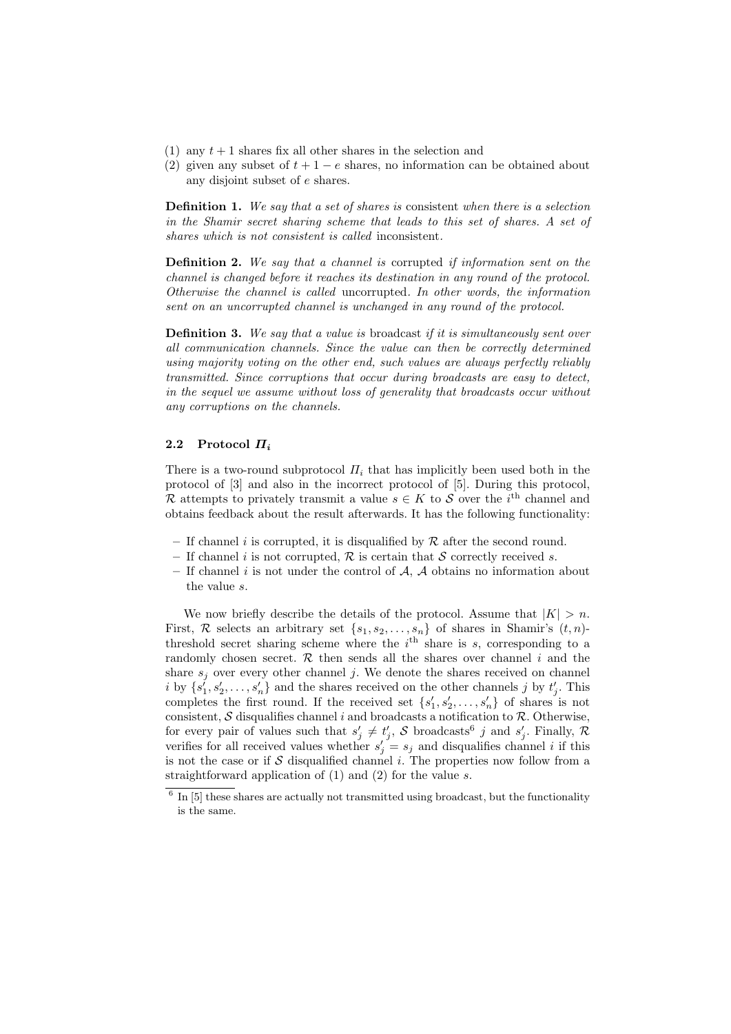- (1) any  $t + 1$  shares fix all other shares in the selection and
- (2) given any subset of  $t + 1 e$  shares, no information can be obtained about any disjoint subset of e shares.

Definition 1. We say that a set of shares is consistent when there is a selection in the Shamir secret sharing scheme that leads to this set of shares. A set of shares which is not consistent is called inconsistent.

Definition 2. We say that a channel is corrupted if information sent on the channel is changed before it reaches its destination in any round of the protocol. Otherwise the channel is called uncorrupted. In other words, the information sent on an uncorrupted channel is unchanged in any round of the protocol.

**Definition 3.** We say that a value is broadcast if it is simultaneously sent over all communication channels. Since the value can then be correctly determined using majority voting on the other end, such values are always perfectly reliably transmitted. Since corruptions that occur during broadcasts are easy to detect, in the sequel we assume without loss of generality that broadcasts occur without any corruptions on the channels.

### 2.2 Protocol  $\Pi_i$

There is a two-round subprotocol  $\Pi_i$  that has implicitly been used both in the protocol of [3] and also in the incorrect protocol of [5]. During this protocol, R attempts to privately transmit a value  $s \in K$  to S over the i<sup>th</sup> channel and obtains feedback about the result afterwards. It has the following functionality:

- If channel i is corrupted, it is disqualified by  $R$  after the second round.
- If channel i is not corrupted,  $\mathcal R$  is certain that S correctly received s.
- If channel i is not under the control of  $A$ ,  $A$  obtains no information about the value s.

We now briefly describe the details of the protocol. Assume that  $|K| > n$ . First, R selects an arbitrary set  $\{s_1, s_2, \ldots, s_n\}$  of shares in Shamir's  $(t, n)$ threshold secret sharing scheme where the  $i<sup>th</sup>$  share is s, corresponding to a randomly chosen secret.  $\mathcal R$  then sends all the shares over channel i and the share  $s_i$  over every other channel j. We denote the shares received on channel i by  $\{s_1', s_2', \ldots, s_n'\}$  and the shares received on the other channels j by  $t_j'$ . This completes the first round. If the received set  $\{s'_1, s'_2, \ldots, s'_n\}$  of shares is not consistent,  $S$  disqualifies channel i and broadcasts a notification to  $R$ . Otherwise, for every pair of values such that  $s'_j \neq t'_j$ , S broadcasts<sup>6</sup> j and  $s'_j$ . Finally, R verifies for all received values whether  $s'_j = s_j$  and disqualifies channel *i* if this is not the case or if  $S$  disqualified channel i. The properties now follow from a straightforward application of  $(1)$  and  $(2)$  for the value s.

 $6$  In  $[5]$  these shares are actually not transmitted using broadcast, but the functionality is the same.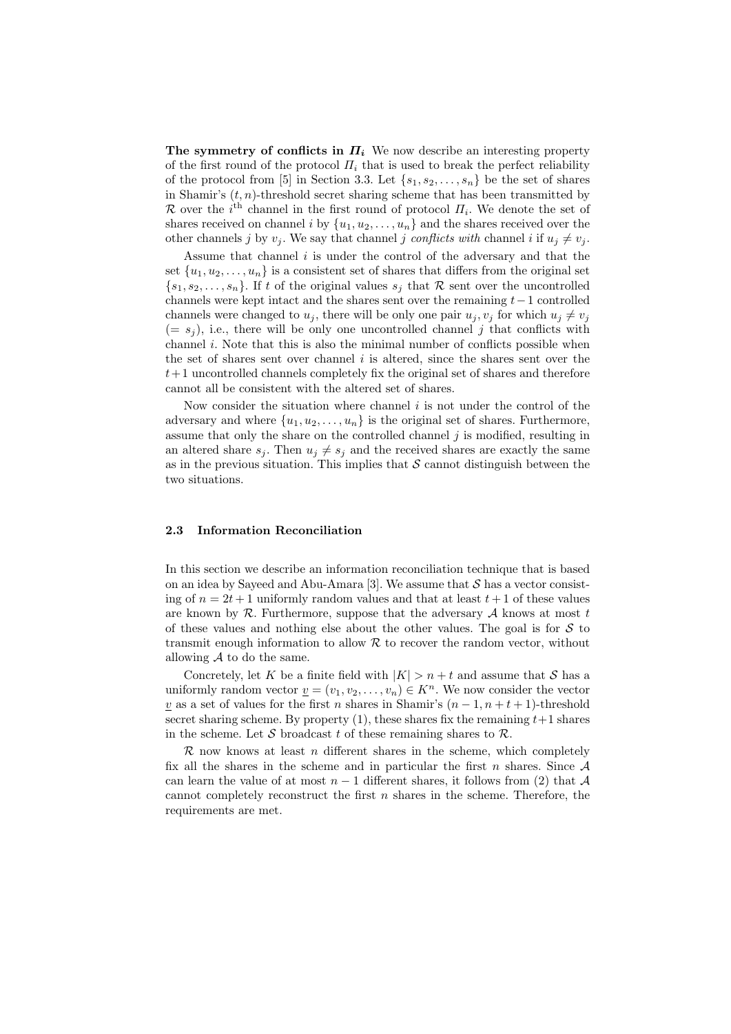The symmetry of conflicts in  $\Pi_i$ . We now describe an interesting property of the first round of the protocol  $\Pi_i$  that is used to break the perfect reliability of the protocol from [5] in Section 3.3. Let  $\{s_1, s_2, \ldots, s_n\}$  be the set of shares in Shamir's  $(t, n)$ -threshold secret sharing scheme that has been transmitted by R over the  $i<sup>th</sup>$  channel in the first round of protocol  $\Pi_i$ . We denote the set of shares received on channel i by  $\{u_1, u_2, \ldots, u_n\}$  and the shares received over the other channels j by  $v_i$ . We say that channel j conflicts with channel i if  $u_i \neq v_i$ .

Assume that channel  $i$  is under the control of the adversary and that the set  $\{u_1, u_2, \ldots, u_n\}$  is a consistent set of shares that differs from the original set  $\{s_1, s_2, \ldots, s_n\}$ . If t of the original values  $s_i$  that R sent over the uncontrolled channels were kept intact and the shares sent over the remaining  $t-1$  controlled channels were changed to  $u_i$ , there will be only one pair  $u_i, v_i$  for which  $u_i \neq v_i$  $(= s<sub>j</sub>)$ , i.e., there will be only one uncontrolled channel j that conflicts with channel  $i$ . Note that this is also the minimal number of conflicts possible when the set of shares sent over channel  $i$  is altered, since the shares sent over the  $t+1$  uncontrolled channels completely fix the original set of shares and therefore cannot all be consistent with the altered set of shares.

Now consider the situation where channel  $i$  is not under the control of the adversary and where  $\{u_1, u_2, \ldots, u_n\}$  is the original set of shares. Furthermore, assume that only the share on the controlled channel  $j$  is modified, resulting in an altered share  $s_i$ . Then  $u_j \neq s_j$  and the received shares are exactly the same as in the previous situation. This implies that  $S$  cannot distinguish between the two situations.

### 2.3 Information Reconciliation

In this section we describe an information reconciliation technique that is based on an idea by Sayeed and Abu-Amara [3]. We assume that  $S$  has a vector consisting of  $n = 2t + 1$  uniformly random values and that at least  $t + 1$  of these values are known by  $R$ . Furthermore, suppose that the adversary  $A$  knows at most t of these values and nothing else about the other values. The goal is for  $S$  to transmit enough information to allow  $R$  to recover the random vector, without allowing  $\mathcal A$  to do the same.

Concretely, let K be a finite field with  $|K| > n + t$  and assume that S has a uniformly random vector  $\underline{v} = (v_1, v_2, \dots, v_n) \in K^n$ . We now consider the vector <u>v</u> as a set of values for the first n shares in Shamir's  $(n-1, n+t+1)$ -threshold secret sharing scheme. By property  $(1)$ , these shares fix the remaining  $t+1$  shares in the scheme. Let S broadcast t of these remaining shares to  $\mathcal{R}$ .

 $\mathcal R$  now knows at least n different shares in the scheme, which completely fix all the shares in the scheme and in particular the first n shares. Since  $A$ can learn the value of at most  $n-1$  different shares, it follows from (2) that A cannot completely reconstruct the first  $n$  shares in the scheme. Therefore, the requirements are met.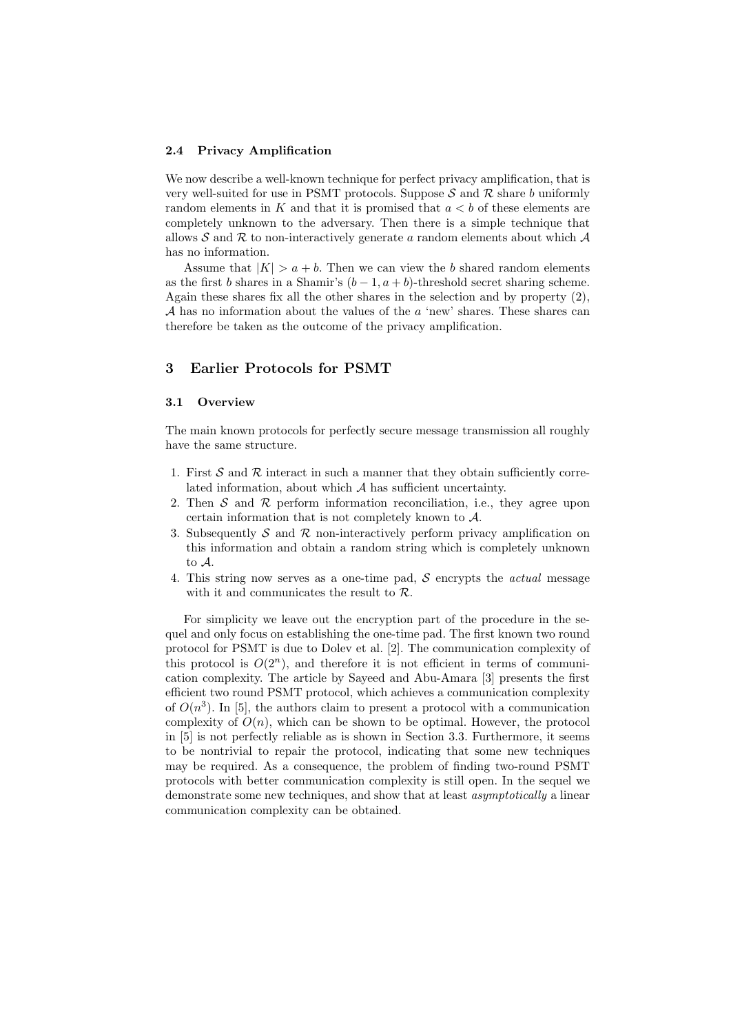#### 2.4 Privacy Amplification

We now describe a well-known technique for perfect privacy amplification, that is very well-suited for use in PSMT protocols. Suppose  $S$  and  $R$  share b uniformly random elements in K and that it is promised that  $a < b$  of these elements are completely unknown to the adversary. Then there is a simple technique that allows S and R to non-interactively generate a random elements about which  $\mathcal A$ has no information.

Assume that  $|K| > a + b$ . Then we can view the b shared random elements as the first b shares in a Shamir's  $(b-1, a+b)$ -threshold secret sharing scheme. Again these shares fix all the other shares in the selection and by property (2),  $A$  has no information about the values of the  $a$  'new' shares. These shares can therefore be taken as the outcome of the privacy amplification.

# 3 Earlier Protocols for PSMT

### 3.1 Overview

The main known protocols for perfectly secure message transmission all roughly have the same structure.

- 1. First  $S$  and  $R$  interact in such a manner that they obtain sufficiently correlated information, about which  $A$  has sufficient uncertainty.
- 2. Then  $S$  and  $R$  perform information reconciliation, i.e., they agree upon certain information that is not completely known to A.
- 3. Subsequently S and R non-interactively perform privacy amplification on this information and obtain a random string which is completely unknown to A.
- 4. This string now serves as a one-time pad,  $S$  encrypts the *actual* message with it and communicates the result to R.

For simplicity we leave out the encryption part of the procedure in the sequel and only focus on establishing the one-time pad. The first known two round protocol for PSMT is due to Dolev et al. [2]. The communication complexity of this protocol is  $O(2^n)$ , and therefore it is not efficient in terms of communication complexity. The article by Sayeed and Abu-Amara [3] presents the first efficient two round PSMT protocol, which achieves a communication complexity of  $O(n^3)$ . In [5], the authors claim to present a protocol with a communication complexity of  $O(n)$ , which can be shown to be optimal. However, the protocol in [5] is not perfectly reliable as is shown in Section 3.3. Furthermore, it seems to be nontrivial to repair the protocol, indicating that some new techniques may be required. As a consequence, the problem of finding two-round PSMT protocols with better communication complexity is still open. In the sequel we demonstrate some new techniques, and show that at least asymptotically a linear communication complexity can be obtained.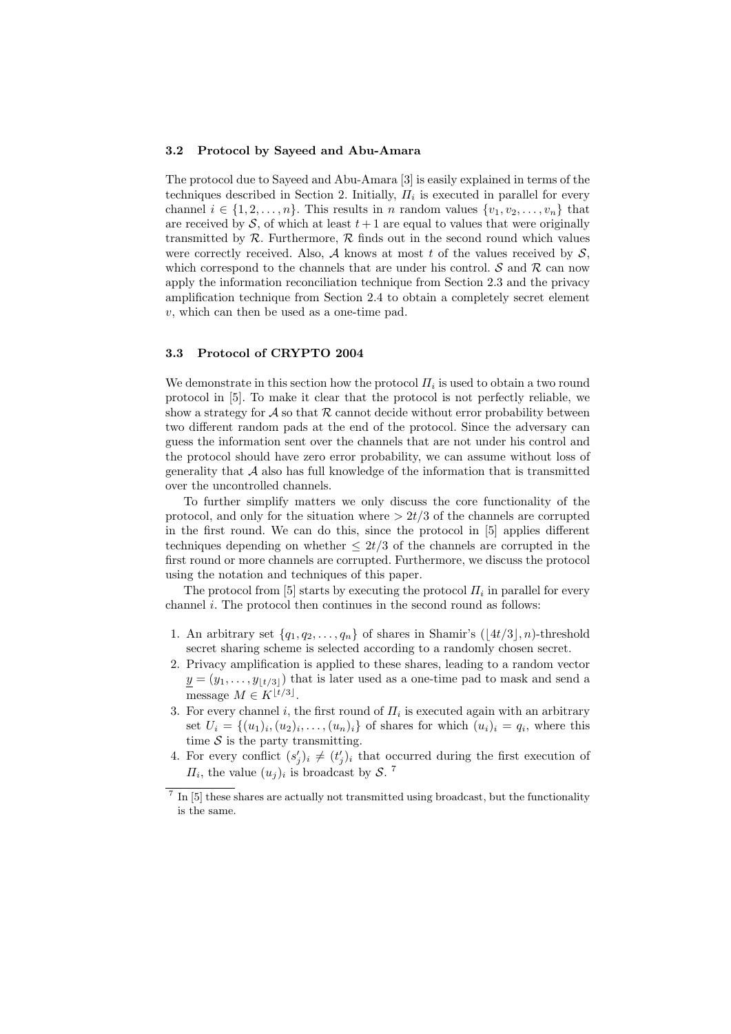#### 3.2 Protocol by Sayeed and Abu-Amara

The protocol due to Sayeed and Abu-Amara [3] is easily explained in terms of the techniques described in Section 2. Initially,  $\Pi_i$  is executed in parallel for every channel  $i \in \{1, 2, \ldots, n\}$ . This results in n random values  $\{v_1, v_2, \ldots, v_n\}$  that are received by S, of which at least  $t + 1$  are equal to values that were originally transmitted by  $R$ . Furthermore,  $R$  finds out in the second round which values were correctly received. Also, A knows at most t of the values received by  $S$ , which correspond to the channels that are under his control.  $\mathcal S$  and  $\mathcal R$  can now apply the information reconciliation technique from Section 2.3 and the privacy amplification technique from Section 2.4 to obtain a completely secret element v, which can then be used as a one-time pad.

#### 3.3 Protocol of CRYPTO 2004

We demonstrate in this section how the protocol  $\Pi_i$  is used to obtain a two round protocol in [5]. To make it clear that the protocol is not perfectly reliable, we show a strategy for A so that R cannot decide without error probability between two different random pads at the end of the protocol. Since the adversary can guess the information sent over the channels that are not under his control and the protocol should have zero error probability, we can assume without loss of generality that  $A$  also has full knowledge of the information that is transmitted over the uncontrolled channels.

To further simplify matters we only discuss the core functionality of the protocol, and only for the situation where  $> 2t/3$  of the channels are corrupted in the first round. We can do this, since the protocol in [5] applies different techniques depending on whether  $\leq 2t/3$  of the channels are corrupted in the first round or more channels are corrupted. Furthermore, we discuss the protocol using the notation and techniques of this paper.

The protocol from [5] starts by executing the protocol  $\Pi_i$  in parallel for every channel  $i$ . The protocol then continues in the second round as follows:

- 1. An arbitrary set  $\{q_1, q_2, \ldots, q_n\}$  of shares in Shamir's  $(\lfloor 4t/3 \rfloor, n)$ -threshold secret sharing scheme is selected according to a randomly chosen secret.
- 2. Privacy amplification is applied to these shares, leading to a random vector  $y = (y_1, \ldots, y_{\lfloor t/3 \rfloor})$  that is later used as a one-time pad to mask and send a message  $M \in K^{\lfloor t/3 \rfloor}$ .
- 3. For every channel i, the first round of  $\Pi_i$  is executed again with an arbitrary set  $U_i = \{(u_1)_i, (u_2)_i, \ldots, (u_n)_i\}$  of shares for which  $(u_i)_i = q_i$ , where this time  $S$  is the party transmitting.
- 4. For every conflict  $(s'_j)_i \neq (t'_j)_i$  that occurred during the first execution of  $\Pi_i$ , the value  $(u_j)_i$  is broadcast by S.<sup>7</sup>

 $\frac{7}{10}$  In [5] these shares are actually not transmitted using broadcast, but the functionality is the same.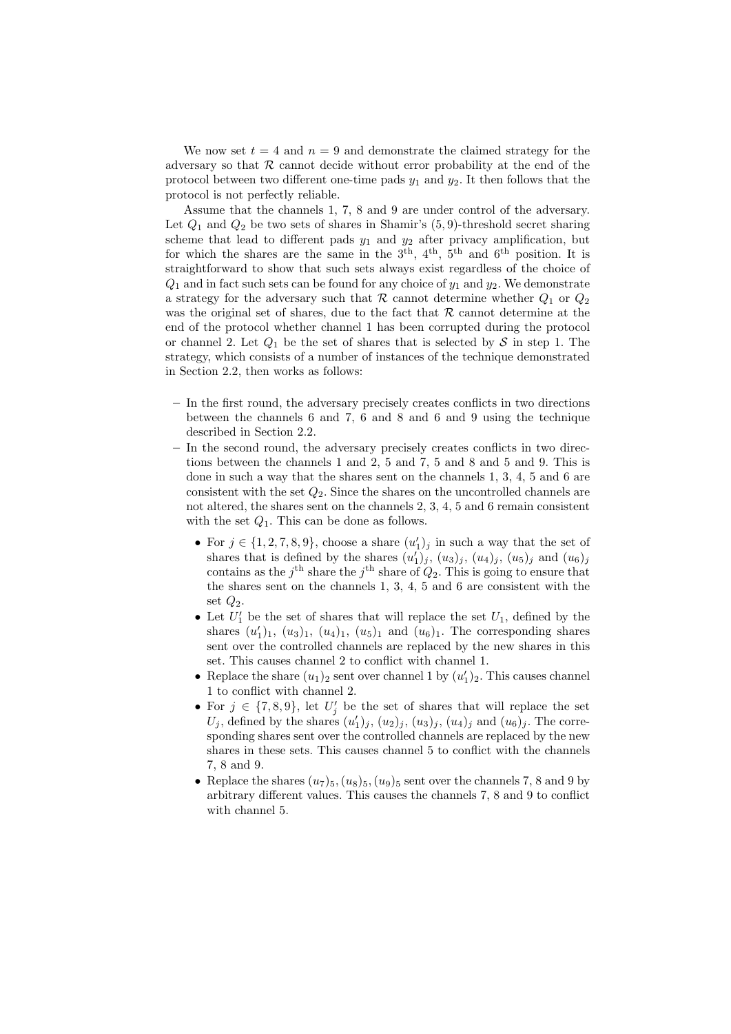We now set  $t = 4$  and  $n = 9$  and demonstrate the claimed strategy for the adversary so that  $R$  cannot decide without error probability at the end of the protocol between two different one-time pads  $y_1$  and  $y_2$ . It then follows that the protocol is not perfectly reliable.

Assume that the channels 1, 7, 8 and 9 are under control of the adversary. Let  $Q_1$  and  $Q_2$  be two sets of shares in Shamir's  $(5, 9)$ -threshold secret sharing scheme that lead to different pads  $y_1$  and  $y_2$  after privacy amplification, but for which the shares are the same in the  $3<sup>th</sup>$ ,  $4<sup>th</sup>$ ,  $5<sup>th</sup>$  and  $6<sup>th</sup>$  position. It is straightforward to show that such sets always exist regardless of the choice of  $Q_1$  and in fact such sets can be found for any choice of  $y_1$  and  $y_2$ . We demonstrate a strategy for the adversary such that  $R$  cannot determine whether  $Q_1$  or  $Q_2$ was the original set of shares, due to the fact that  $R$  cannot determine at the end of the protocol whether channel 1 has been corrupted during the protocol or channel 2. Let  $Q_1$  be the set of shares that is selected by S in step 1. The strategy, which consists of a number of instances of the technique demonstrated in Section 2.2, then works as follows:

- In the first round, the adversary precisely creates conflicts in two directions between the channels 6 and 7, 6 and 8 and 6 and 9 using the technique described in Section 2.2.
- In the second round, the adversary precisely creates conflicts in two directions between the channels 1 and 2, 5 and 7, 5 and 8 and 5 and 9. This is done in such a way that the shares sent on the channels 1, 3, 4, 5 and 6 are consistent with the set  $Q_2$ . Since the shares on the uncontrolled channels are not altered, the shares sent on the channels 2, 3, 4, 5 and 6 remain consistent with the set  $Q_1$ . This can be done as follows.
	- For  $j \in \{1, 2, 7, 8, 9\}$ , choose a share  $(u'_1)_j$  in such a way that the set of shares that is defined by the shares  $(u_1')_j$ ,  $(u_3)_j$ ,  $(u_4)_j$ ,  $(u_5)_j$  and  $(u_6)_j$ contains as the j<sup>th</sup> share the j<sup>th</sup> share of  $Q_2$ . This is going to ensure that the shares sent on the channels 1, 3, 4, 5 and 6 are consistent with the set  $Q_2$ .
	- Let  $U'_1$  be the set of shares that will replace the set  $U_1$ , defined by the shares  $(u'_1)_1$ ,  $(u_3)_1$ ,  $(u_4)_1$ ,  $(u_5)_1$  and  $(u_6)_1$ . The corresponding shares sent over the controlled channels are replaced by the new shares in this set. This causes channel 2 to conflict with channel 1.
	- Replace the share  $(u_1)_2$  sent over channel 1 by  $(u'_1)_2$ . This causes channel 1 to conflict with channel 2.
	- For  $j \in \{7, 8, 9\}$ , let  $U'_j$  be the set of shares that will replace the set  $U_j$ , defined by the shares  $(u'_1)_j$ ,  $(u_2)_j$ ,  $(u_3)_j$ ,  $(u_4)_j$  and  $(u_6)_j$ . The corresponding shares sent over the controlled channels are replaced by the new shares in these sets. This causes channel 5 to conflict with the channels 7, 8 and 9.
	- Replace the shares  $(u_7)_5$ ,  $(u_8)_5$ ,  $(u_9)_5$  sent over the channels 7, 8 and 9 by arbitrary different values. This causes the channels 7, 8 and 9 to conflict with channel 5.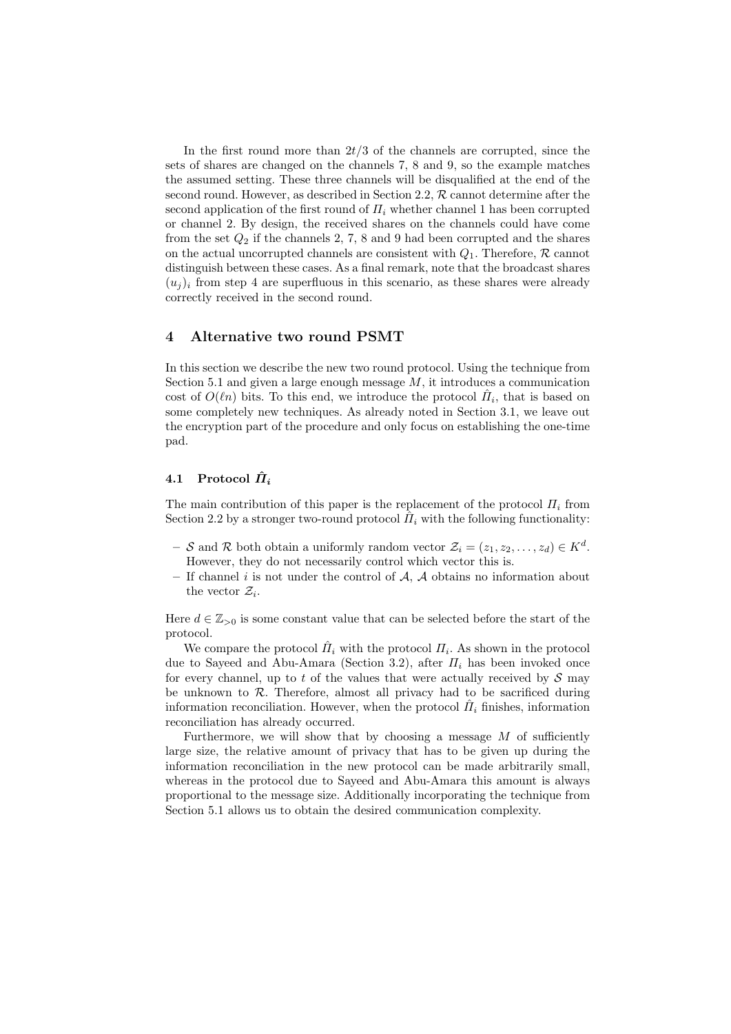In the first round more than  $2t/3$  of the channels are corrupted, since the sets of shares are changed on the channels 7, 8 and 9, so the example matches the assumed setting. These three channels will be disqualified at the end of the second round. However, as described in Section 2.2,  $R$  cannot determine after the second application of the first round of  $\Pi_i$  whether channel 1 has been corrupted or channel 2. By design, the received shares on the channels could have come from the set  $Q_2$  if the channels 2, 7, 8 and 9 had been corrupted and the shares on the actual uncorrupted channels are consistent with  $Q_1$ . Therefore,  $\mathcal R$  cannot distinguish between these cases. As a final remark, note that the broadcast shares  $(u_i)_i$  from step 4 are superfluous in this scenario, as these shares were already correctly received in the second round.

# 4 Alternative two round PSMT

In this section we describe the new two round protocol. Using the technique from Section 5.1 and given a large enough message  $M$ , it introduces a communication cost of  $O(\ell n)$  bits. To this end, we introduce the protocol  $\hat{H}_i$ , that is based on some completely new techniques. As already noted in Section 3.1, we leave out the encryption part of the procedure and only focus on establishing the one-time pad.

# 4.1 Protocol  $\hat{\Pi}_i$

The main contribution of this paper is the replacement of the protocol  $\Pi_i$  from Section 2.2 by a stronger two-round protocol  $\hat{H}_i$  with the following functionality:

- $-$  S and R both obtain a uniformly random vector  $\mathcal{Z}_i = (z_1, z_2, \dots, z_d) \in K^d$ . However, they do not necessarily control which vector this is.
- If channel i is not under the control of  $A$ ,  $A$  obtains no information about the vector  $\mathcal{Z}_i$ .

Here  $d \in \mathbb{Z}_{>0}$  is some constant value that can be selected before the start of the protocol.

We compare the protocol  $\hat{H}_i$  with the protocol  $H_i$ . As shown in the protocol due to Sayeed and Abu-Amara (Section 3.2), after  $\Pi_i$  has been invoked once for every channel, up to t of the values that were actually received by  $\mathcal S$  may be unknown to  $R$ . Therefore, almost all privacy had to be sacrificed during information reconciliation. However, when the protocol  $\hat{H}_i$  finishes, information reconciliation has already occurred.

Furthermore, we will show that by choosing a message  $M$  of sufficiently large size, the relative amount of privacy that has to be given up during the information reconciliation in the new protocol can be made arbitrarily small, whereas in the protocol due to Sayeed and Abu-Amara this amount is always proportional to the message size. Additionally incorporating the technique from Section 5.1 allows us to obtain the desired communication complexity.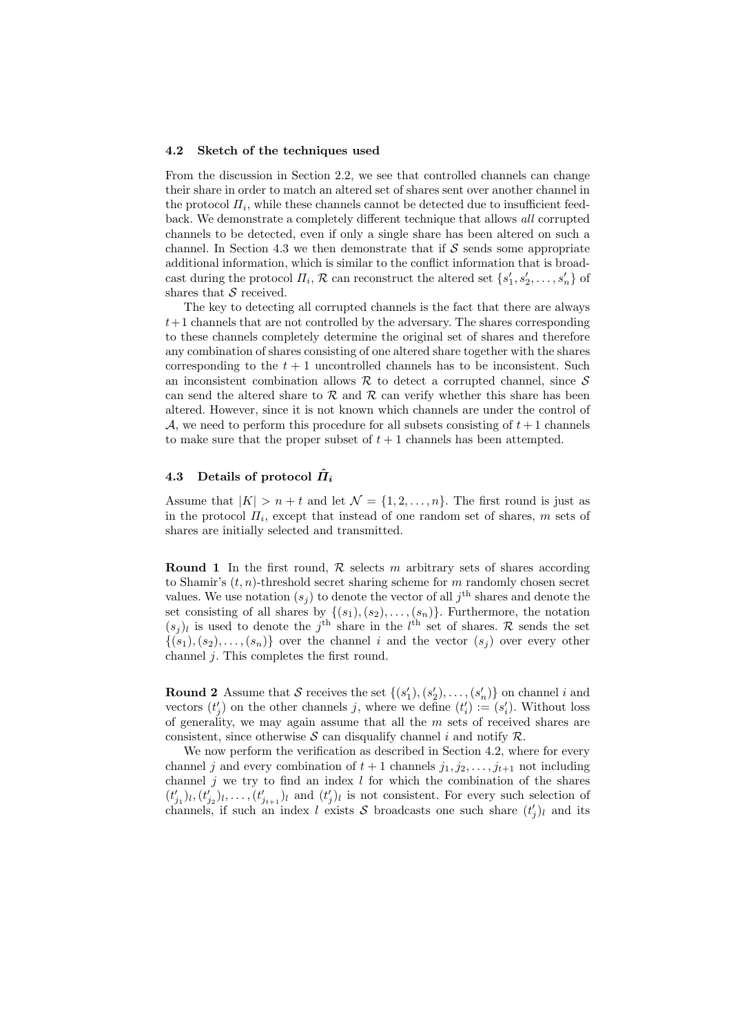#### 4.2 Sketch of the techniques used

From the discussion in Section 2.2, we see that controlled channels can change their share in order to match an altered set of shares sent over another channel in the protocol  $\Pi_i$ , while these channels cannot be detected due to insufficient feedback. We demonstrate a completely different technique that allows all corrupted channels to be detected, even if only a single share has been altered on such a channel. In Section 4.3 we then demonstrate that if  $\mathcal S$  sends some appropriate additional information, which is similar to the conflict information that is broadcast during the protocol  $\Pi_i$ ,  $R$  can reconstruct the altered set  $\{s'_1, s'_2, \ldots, s'_n\}$  of shares that  $S$  received.

The key to detecting all corrupted channels is the fact that there are always  $t+1$  channels that are not controlled by the adversary. The shares corresponding to these channels completely determine the original set of shares and therefore any combination of shares consisting of one altered share together with the shares corresponding to the  $t + 1$  uncontrolled channels has to be inconsistent. Such an inconsistent combination allows  $R$  to detect a corrupted channel, since  $S$ can send the altered share to  $R$  and  $R$  can verify whether this share has been altered. However, since it is not known which channels are under the control of  $A$ , we need to perform this procedure for all subsets consisting of  $t + 1$  channels to make sure that the proper subset of  $t + 1$  channels has been attempted.

# 4.3 Details of protocol  $\hat{H}_i$

Assume that  $|K| > n + t$  and let  $\mathcal{N} = \{1, 2, ..., n\}$ . The first round is just as in the protocol  $\Pi_i$ , except that instead of one random set of shares, m sets of shares are initially selected and transmitted.

**Round 1** In the first round,  $\mathcal{R}$  selects m arbitrary sets of shares according to Shamir's  $(t, n)$ -threshold secret sharing scheme for m randomly chosen secret values. We use notation  $(s_j)$  to denote the vector of all  $j<sup>th</sup>$  shares and denote the set consisting of all shares by  $\{(s_1), (s_2), \ldots, (s_n)\}$ . Furthermore, the notation  $(s_j)_l$  is used to denote the j<sup>th</sup> share in the l<sup>th</sup> set of shares. R sends the set  $\{(s_1), (s_2), \ldots, (s_n)\}\$  over the channel i and the vector  $(s_j)$  over every other channel j. This completes the first round.

**Round 2** Assume that S receives the set  $\{(s'_1), (s'_2), \ldots, (s'_n)\}$  on channel i and vectors  $(t'_j)$  on the other channels j, where we define  $(t'_i) := (s'_i)$ . Without loss of generality, we may again assume that all the  $m$  sets of received shares are consistent, since otherwise S can disqualify channel i and notify  $\mathcal{R}$ .

We now perform the verification as described in Section 4.2, where for every channel j and every combination of  $t + 1$  channels  $j_1, j_2, \ldots, j_{t+1}$  not including channel  $j$  we try to find an index  $l$  for which the combination of the shares  $(t'_{j_1})_l, (t'_{j_2})_l, \ldots, (t'_{j_{t+1}})_l$  and  $(t'_{j})_l$  is not consistent. For every such selection of channels, if such an index l exists S broadcasts one such share  $(t'_j)_l$  and its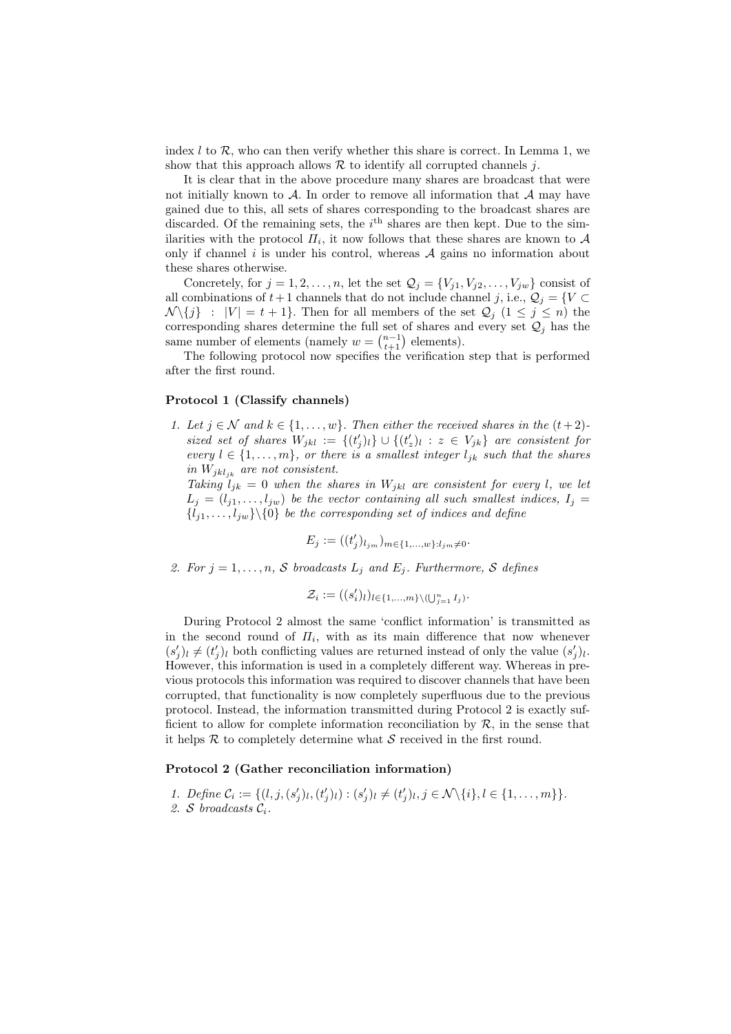index  $l$  to  $\mathcal{R}$ , who can then verify whether this share is correct. In Lemma 1, we show that this approach allows  $R$  to identify all corrupted channels  $i$ .

It is clear that in the above procedure many shares are broadcast that were not initially known to  $A$ . In order to remove all information that  $A$  may have gained due to this, all sets of shares corresponding to the broadcast shares are discarded. Of the remaining sets, the  $i<sup>th</sup>$  shares are then kept. Due to the similarities with the protocol  $\overline{H}_i$ , it now follows that these shares are known to  $\mathcal A$ only if channel  $i$  is under his control, whereas  $A$  gains no information about these shares otherwise.

Concretely, for  $j = 1, 2, ..., n$ , let the set  $\mathcal{Q}_j = \{V_{j1}, V_{j2}, ..., V_{jw}\}$  consist of all combinations of  $t+1$  channels that do not include channel j, i.e.,  $\mathcal{Q}_i = \{V \subset$  $\mathcal{N}\setminus\{j\}$  :  $|V| = t + 1$ . Then for all members of the set  $\mathcal{Q}_j$   $(1 \leq j \leq n)$  the corresponding shares determine the full set of shares and every set  $\mathcal{Q}_j$  has the same number of elements (namely  $w = \binom{n-1}{t+1}$  elements).

The following protocol now specifies the verification step that is performed after the first round.

### Protocol 1 (Classify channels)

1. Let  $j \in \mathcal{N}$  and  $k \in \{1, \ldots, w\}$ . Then either the received shares in the  $(t+2)$ sized set of shares  $W_{jkl} := \{(t'_j)_l\} \cup \{(t'_z)_l : z \in V_{jk}\}\$ are consistent for every  $l \in \{1, \ldots, m\}$ , or there is a smallest integer  $l_{jk}$  such that the shares in  $W_{jkl_{jk}}$  are not consistent.

Taking  $l_{jk} = 0$  when the shares in  $W_{jkl}$  are consistent for every l, we let  $L_j = (l_{j1}, \ldots, l_{jw})$  be the vector containing all such smallest indices,  $I_i =$  ${l_{j1}, \ldots, l_{jw}}\{\{0\}$  be the corresponding set of indices and define

> $E_j := ( (t'_j$  $\binom{j}{j}$ l<sub>jm</sub>) $_{m\in\{1,\ldots,w\}:l_{jm}\neq0}$ .

2. For  $j = 1, \ldots, n$ , S broadcasts  $L_j$  and  $E_j$ . Furthermore, S defines

$$
\mathcal{Z}_i := ((s'_i)_l)_{l \in \{1, \ldots, m\} \setminus (\bigcup_{j=1}^n I_j)}.
$$

During Protocol 2 almost the same 'conflict information' is transmitted as in the second round of  $\Pi_i$ , with as its main difference that now whenever  $(s'_j)_l \neq (t'_j)_l$  both conflicting values are returned instead of only the value  $(s'_j)_l$ . However, this information is used in a completely different way. Whereas in previous protocols this information was required to discover channels that have been corrupted, that functionality is now completely superfluous due to the previous protocol. Instead, the information transmitted during Protocol 2 is exactly sufficient to allow for complete information reconciliation by  $\mathcal{R}$ , in the sense that it helps  $R$  to completely determine what  $S$  received in the first round.

### Protocol 2 (Gather reconciliation information)

1. Define  $C_i := \{(l, j, (s'_j)_l, (t'_j)_l) : (s'_j)_l \neq (t'_j)_l, j \in \mathcal{N}\backslash\{i\}, l \in \{1, \ldots, m\}\}.$ 2. S broadcasts Ci.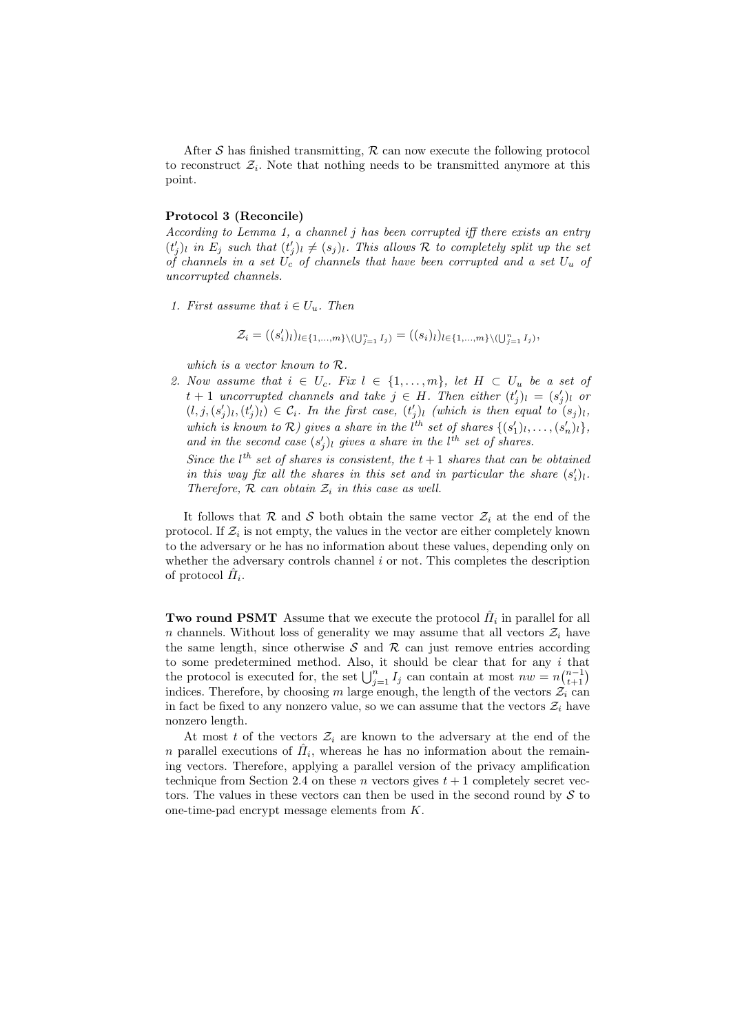After S has finished transmitting,  $\mathcal R$  can now execute the following protocol to reconstruct  $\mathcal{Z}_i$ . Note that nothing needs to be transmitted anymore at this point.

#### Protocol 3 (Reconcile)

According to Lemma 1, a channel j has been corrupted iff there exists an entry  $(t'_j)_l$  in  $E_j$  such that  $(t'_j)_l \neq (s_j)_l$ . This allows R to completely split up the set of channels in a set  $U_c$  of channels that have been corrupted and a set  $U_u$  of uncorrupted channels.

1. First assume that  $i \in U_u$ . Then

$$
\mathcal{Z}_i = ((s_i')_l)_{l \in \{1, ..., m\} \setminus (\bigcup_{j=1}^n I_j)} = ((s_i)_l)_{l \in \{1, ..., m\} \setminus (\bigcup_{j=1}^n I_j)},
$$

which is a vector known to R.

2. Now assume that  $i \in U_c$ . Fix  $l \in \{1, \ldots, m\}$ , let  $H \subset U_u$  be a set of  $t + 1$  uncorrupted channels and take  $j \in H$ . Then either  $(t'_j)_l = (s'_j)_l$  or  $(l, j, (s'_j)_l, (t'_j)_l) \in C_i$ . In the first case,  $(t'_j)_l$  (which is then equal to  $(s_j)_l$ , which is known to  $\mathcal{R}$ ) gives a share in the l<sup>th</sup> set of shares  $\{(s'_1)_l, \ldots, (s'_n)_l\}$ , and in the second case  $(s'_j)_l$  gives a share in the l<sup>th</sup> set of shares.

Since the  $l^{th}$  set of shares is consistent, the  $t+1$  shares that can be obtained in this way fix all the shares in this set and in particular the share  $(s_i')_l$ . Therefore,  $R$  can obtain  $\mathcal{Z}_i$  in this case as well.

It follows that R and S both obtain the same vector  $\mathcal{Z}_i$  at the end of the protocol. If  $\mathcal{Z}_i$  is not empty, the values in the vector are either completely known to the adversary or he has no information about these values, depending only on whether the adversary controls channel  $i$  or not. This completes the description of protocol  $\hat{H}_i$ .

Two round PSMT Assume that we execute the protocol  $\hat{H}_i$  in parallel for all n channels. Without loss of generality we may assume that all vectors  $\mathcal{Z}_i$  have the same length, since otherwise  $S$  and  $R$  can just remove entries according to some predetermined method. Also, it should be clear that for any  $i$  that the protocol is executed for, the set  $\bigcup_{j=1}^{n} I_j$  can contain at most  $nw = n {n-1 \choose t+1}$ indices. Therefore, by choosing m large enough, the length of the vectors  $\mathcal{Z}_i$  can in fact be fixed to any nonzero value, so we can assume that the vectors  $\mathcal{Z}_i$  have nonzero length.

At most t of the vectors  $\mathcal{Z}_i$  are known to the adversary at the end of the n parallel executions of  $\hat{H}_i$ , whereas he has no information about the remaining vectors. Therefore, applying a parallel version of the privacy amplification technique from Section 2.4 on these n vectors gives  $t + 1$  completely secret vectors. The values in these vectors can then be used in the second round by  $S$  to one-time-pad encrypt message elements from K.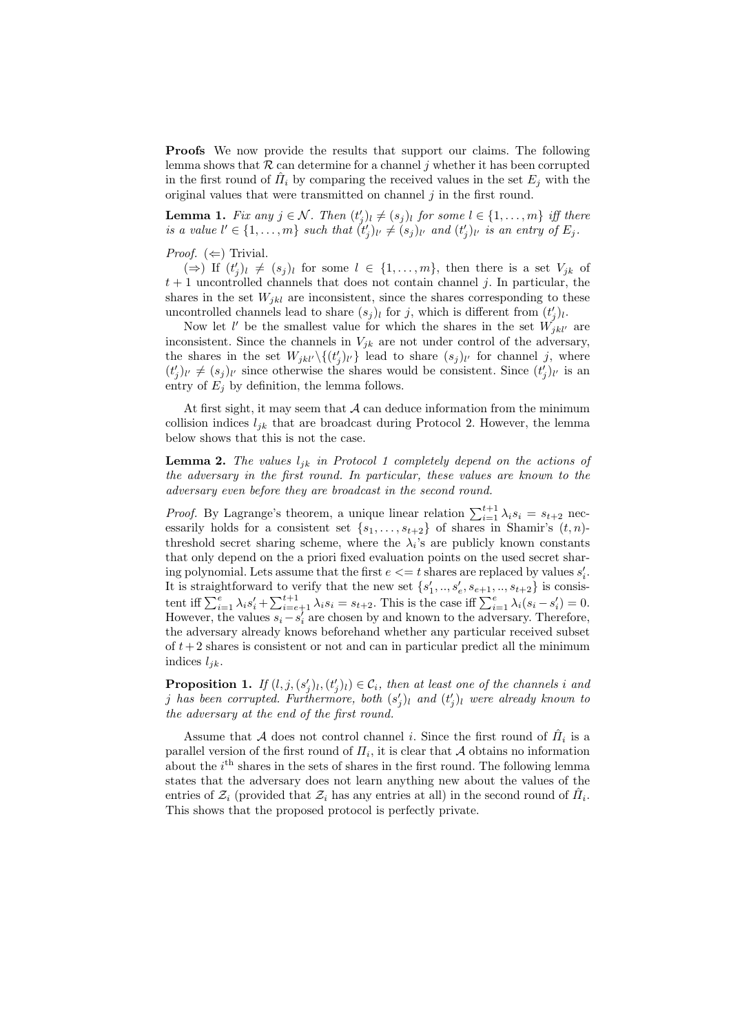Proofs We now provide the results that support our claims. The following lemma shows that  $\mathcal R$  can determine for a channel j whether it has been corrupted in the first round of  $\hat{H}_i$  by comparing the received values in the set  $E_j$  with the original values that were transmitted on channel  $j$  in the first round.

**Lemma 1.** Fix any  $j \in \mathcal{N}$ . Then  $(t'_j)_l \neq (s_j)_l$  for some  $l \in \{1, \ldots, m\}$  iff there is a value  $l' \in \{1, ..., m\}$  such that  $(t'_j)_{l'} \neq (s_j)_{l'}$  and  $(t'_j)_{l'}$  is an entry of  $E_j$ .

#### *Proof.*  $(\Leftarrow)$  Trivial.

 $(\Rightarrow)$  If  $(t'_j)_l \neq (s_j)_l$  for some  $l \in \{1, ..., m\}$ , then there is a set  $V_{jk}$  of  $t + 1$  uncontrolled channels that does not contain channel j. In particular, the shares in the set  $W_{ikl}$  are inconsistent, since the shares corresponding to these uncontrolled channels lead to share  $(s_j)_l$  for j, which is different from  $(t'_j)_l$ .

Now let l' be the smallest value for which the shares in the set  $\hat{W}_{jkl'}^{j'}$  are inconsistent. Since the channels in  $V_{jk}$  are not under control of the adversary, the shares in the set  $W_{jkl'}\setminus\{(t'_j)_{l'}\}$  lead to share  $(s_j)_{l'}$  for channel j, where  $(t'_j)_{l'} \neq (s_j)_{l'}$  since otherwise the shares would be consistent. Since  $(t'_j)_{l'}$  is an entry of  $E_i$  by definition, the lemma follows.

At first sight, it may seem that  $A$  can deduce information from the minimum collision indices  $l_{ik}$  that are broadcast during Protocol 2. However, the lemma below shows that this is not the case.

**Lemma 2.** The values  $l_{ik}$  in Protocol 1 completely depend on the actions of the adversary in the first round. In particular, these values are known to the adversary even before they are broadcast in the second round.

*Proof.* By Lagrange's theorem, a unique linear relation  $\sum_{i=1}^{t+1} \lambda_i s_i = s_{t+2}$  necessarily holds for a consistent set  $\{s_1, \ldots, s_{t+2}\}\$  of shares in Shamir's  $(t, n)$ threshold secret sharing scheme, where the  $\lambda_i$ 's are publicly known constants that only depend on the a priori fixed evaluation points on the used secret sharing polynomial. Lets assume that the first  $e \leq t$  shares are replaced by values  $s_i'$ . It is straightforward to verify that the new set  $\{s'_1, ..., s'_e, s_{e+1}, ..., s_{t+2}\}$  is consistent iff  $\sum_{i=1}^{e} \lambda_i s'_i + \sum_{i=e+1}^{t+1} \lambda_i s_i = s_{t+2}$ . This is the case iff  $\sum_{i=1}^{e} \lambda_i (s_i - s'_i) = 0$ . However, the values  $s_i - s'_i$  are chosen by and known to the adversary. Therefore, the adversary already knows beforehand whether any particular received subset of  $t+2$  shares is consistent or not and can in particular predict all the minimum indices  $l_{jk}$ .

**Proposition 1.** If  $(l, j, (s'_j)l, (t'_j)l) \in C_i$ , then at least one of the channels i and j has been corrupted. Furthermore, both  $(s'_j)_l$  and  $(t'_j)_l$  were already known to the adversary at the end of the first round.

Assume that A does not control channel *i*. Since the first round of  $\hat{H}_i$  is a parallel version of the first round of  $\Pi_i$ , it is clear that A obtains no information about the  $i<sup>th</sup>$  shares in the sets of shares in the first round. The following lemma states that the adversary does not learn anything new about the values of the entries of  $\mathcal{Z}_i$  (provided that  $\mathcal{Z}_i$  has any entries at all) in the second round of  $\hat{H}_i$ . This shows that the proposed protocol is perfectly private.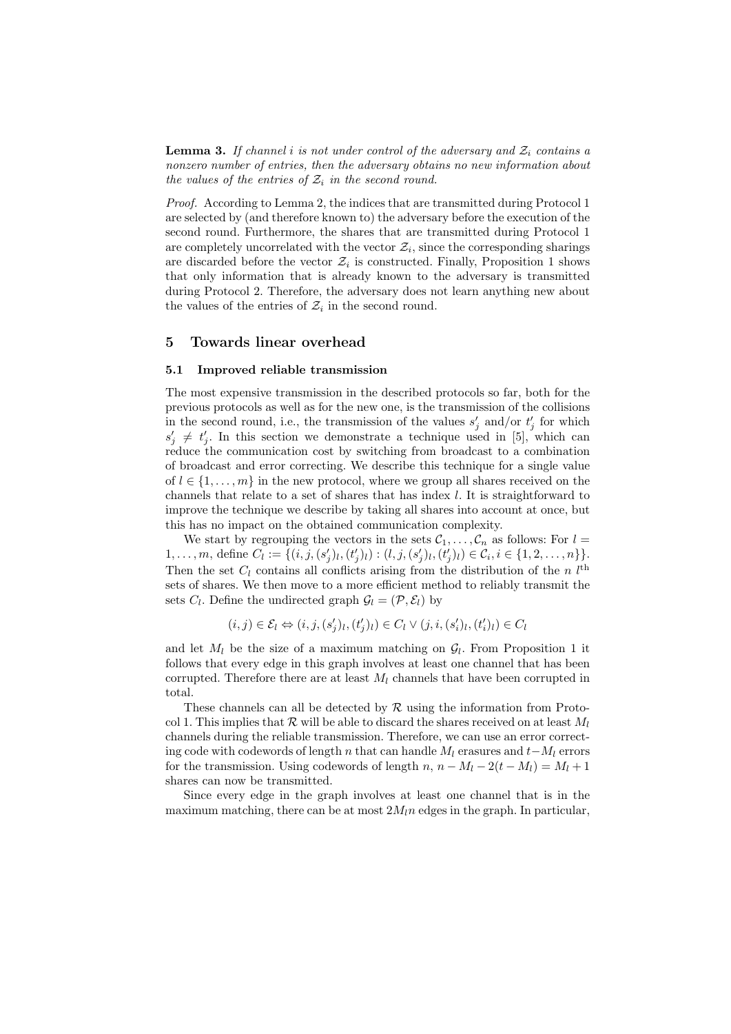**Lemma 3.** If channel i is not under control of the adversary and  $\mathcal{Z}_i$  contains a nonzero number of entries, then the adversary obtains no new information about the values of the entries of  $\mathcal{Z}_i$  in the second round.

Proof. According to Lemma 2, the indices that are transmitted during Protocol 1 are selected by (and therefore known to) the adversary before the execution of the second round. Furthermore, the shares that are transmitted during Protocol 1 are completely uncorrelated with the vector  $\mathcal{Z}_i$ , since the corresponding sharings are discarded before the vector  $\mathcal{Z}_i$  is constructed. Finally, Proposition 1 shows that only information that is already known to the adversary is transmitted during Protocol 2. Therefore, the adversary does not learn anything new about the values of the entries of  $\mathcal{Z}_i$  in the second round.

# 5 Towards linear overhead

### 5.1 Improved reliable transmission

The most expensive transmission in the described protocols so far, both for the previous protocols as well as for the new one, is the transmission of the collisions in the second round, i.e., the transmission of the values  $s'_j$  and/or  $t'_j$  for which  $s'_j \neq t'_j$ . In this section we demonstrate a technique used in [5], which can reduce the communication cost by switching from broadcast to a combination of broadcast and error correcting. We describe this technique for a single value of  $l \in \{1, \ldots, m\}$  in the new protocol, where we group all shares received on the channels that relate to a set of shares that has index l. It is straightforward to improve the technique we describe by taking all shares into account at once, but this has no impact on the obtained communication complexity.

We start by regrouping the vectors in the sets  $C_1, \ldots, C_n$  as follows: For  $l =$ 1,..., m, define  $C_l := \{ (i, j, (s'_j)_l, (t'_j)_l) : (l, j, (s'_j)_l, (t'_j)_l) \in C_i, i \in \{1, 2, ..., n\} \}.$ Then the set  $C_l$  contains all conflicts arising from the distribution of the n  $l^{\text{th}}$ sets of shares. We then move to a more efficient method to reliably transmit the sets  $C_l$ . Define the undirected graph  $\mathcal{G}_l = (\mathcal{P}, \mathcal{E}_l)$  by

$$
(i,j) \in \mathcal{E}_l \Leftrightarrow (i,j,(s'_j)_l,(t'_j)_l) \in C_l \vee (j,i,(s'_i)_l,(t'_i)_l) \in C_l
$$

and let  $M_l$  be the size of a maximum matching on  $\mathcal{G}_l$ . From Proposition 1 it follows that every edge in this graph involves at least one channel that has been corrupted. Therefore there are at least  $M_l$  channels that have been corrupted in total.

These channels can all be detected by  $R$  using the information from Protocol 1. This implies that R will be able to discard the shares received on at least  $M_l$ channels during the reliable transmission. Therefore, we can use an error correcting code with codewords of length n that can handle  $M_l$  erasures and  $t-M_l$  errors for the transmission. Using codewords of length  $n, n - M_l - 2(t - M_l) = M_l + 1$ shares can now be transmitted.

Since every edge in the graph involves at least one channel that is in the maximum matching, there can be at most  $2M/n$  edges in the graph. In particular,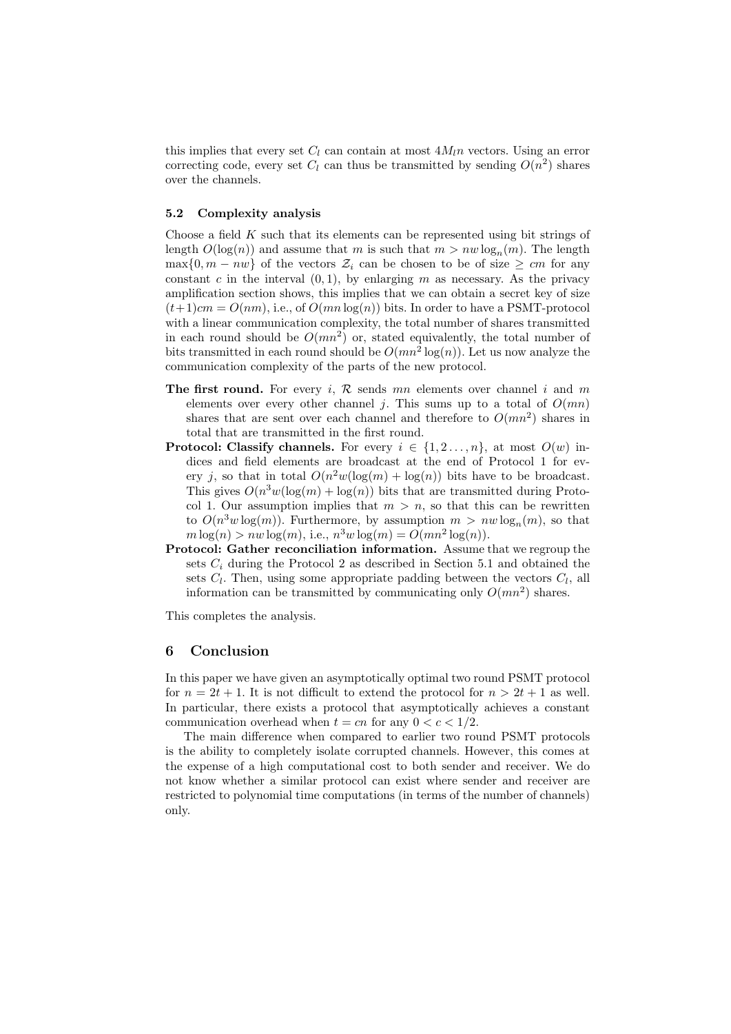this implies that every set  $C_l$  can contain at most  $4M_l n$  vectors. Using an error correcting code, every set  $C_l$  can thus be transmitted by sending  $O(n^2)$  shares over the channels.

### 5.2 Complexity analysis

Choose a field  $K$  such that its elements can be represented using bit strings of length  $O(\log(n))$  and assume that m is such that  $m > nw \log_n(m)$ . The length  $\max\{0, m - nw\}$  of the vectors  $\mathcal{Z}_i$  can be chosen to be of size  $\geq cm$  for any constant c in the interval  $(0, 1)$ , by enlarging m as necessary. As the privacy amplification section shows, this implies that we can obtain a secret key of size  $(t+1)cm = O(nm)$ , i.e., of  $O(mn \log(n))$  bits. In order to have a PSMT-protocol with a linear communication complexity, the total number of shares transmitted in each round should be  $O(mn^2)$  or, stated equivalently, the total number of bits transmitted in each round should be  $O(mn^2 \log(n))$ . Let us now analyze the communication complexity of the parts of the new protocol.

- **The first round.** For every i, R sends mn elements over channel i and m elements over every other channel j. This sums up to a total of  $O(mn)$ shares that are sent over each channel and therefore to  $O(mn^2)$  shares in total that are transmitted in the first round.
- **Protocol: Classify channels.** For every  $i \in \{1, 2, ..., n\}$ , at most  $O(w)$  indices and field elements are broadcast at the end of Protocol 1 for every j, so that in total  $O(n^2w(\log(m) + \log(n)))$  bits have to be broadcast. This gives  $O(n^3w(\log(m) + \log(n)))$  bits that are transmitted during Protocol 1. Our assumption implies that  $m > n$ , so that this can be rewritten to  $O(n^3w \log(m))$ . Furthermore, by assumption  $m > nw \log_n(m)$ , so that  $m \log(n) > nw \log(m)$ , i.e.,  $n^3w \log(m) = O(mn^2 \log(n))$ .
- Protocol: Gather reconciliation information. Assume that we regroup the sets  $C_i$  during the Protocol 2 as described in Section 5.1 and obtained the sets  $C_l$ . Then, using some appropriate padding between the vectors  $C_l$ , all information can be transmitted by communicating only  $O(mn^2)$  shares.

This completes the analysis.

## 6 Conclusion

In this paper we have given an asymptotically optimal two round PSMT protocol for  $n = 2t + 1$ . It is not difficult to extend the protocol for  $n > 2t + 1$  as well. In particular, there exists a protocol that asymptotically achieves a constant communication overhead when  $t = cn$  for any  $0 < c < 1/2$ .

The main difference when compared to earlier two round PSMT protocols is the ability to completely isolate corrupted channels. However, this comes at the expense of a high computational cost to both sender and receiver. We do not know whether a similar protocol can exist where sender and receiver are restricted to polynomial time computations (in terms of the number of channels) only.